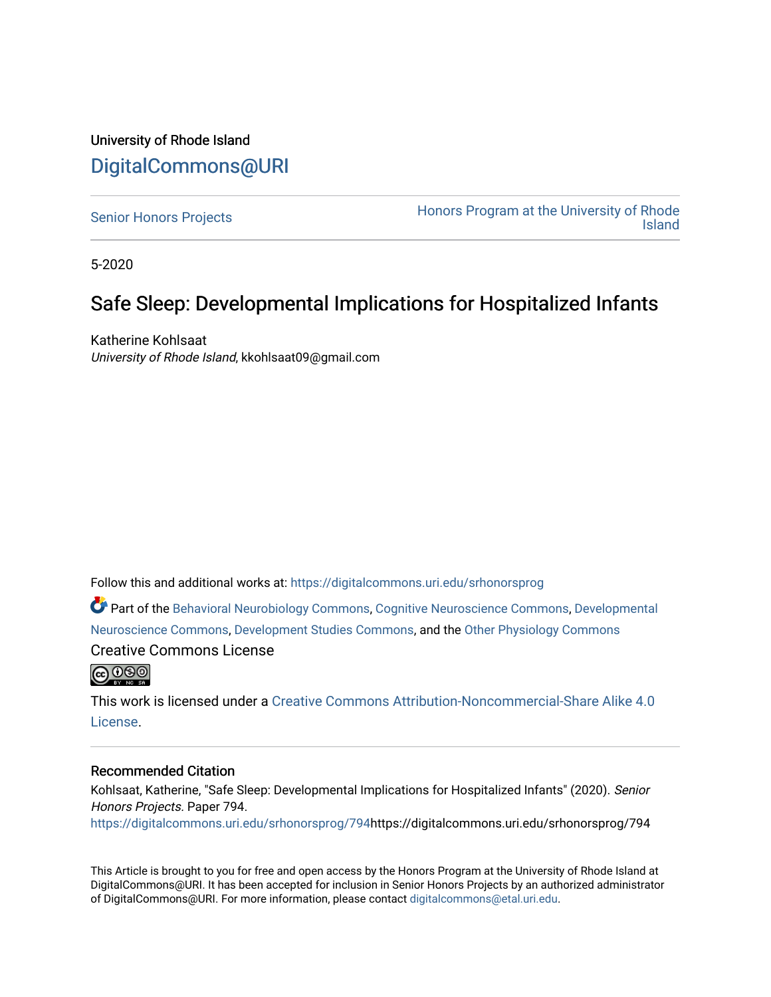### University of Rhode Island [DigitalCommons@URI](https://digitalcommons.uri.edu/)

[Senior Honors Projects](https://digitalcommons.uri.edu/srhonorsprog) **Honors Program at the University of Rhode** [Island](https://digitalcommons.uri.edu/honors_prog) 

5-2020

## Safe Sleep: Developmental Implications for Hospitalized Infants

Katherine Kohlsaat University of Rhode Island, kkohlsaat09@gmail.com

Follow this and additional works at: [https://digitalcommons.uri.edu/srhonorsprog](https://digitalcommons.uri.edu/srhonorsprog?utm_source=digitalcommons.uri.edu%2Fsrhonorsprog%2F794&utm_medium=PDF&utm_campaign=PDFCoverPages)

Part of the [Behavioral Neurobiology Commons,](http://network.bepress.com/hgg/discipline/56?utm_source=digitalcommons.uri.edu%2Fsrhonorsprog%2F794&utm_medium=PDF&utm_campaign=PDFCoverPages) [Cognitive Neuroscience Commons](http://network.bepress.com/hgg/discipline/57?utm_source=digitalcommons.uri.edu%2Fsrhonorsprog%2F794&utm_medium=PDF&utm_campaign=PDFCoverPages), [Developmental](http://network.bepress.com/hgg/discipline/59?utm_source=digitalcommons.uri.edu%2Fsrhonorsprog%2F794&utm_medium=PDF&utm_campaign=PDFCoverPages)  [Neuroscience Commons,](http://network.bepress.com/hgg/discipline/59?utm_source=digitalcommons.uri.edu%2Fsrhonorsprog%2F794&utm_medium=PDF&utm_campaign=PDFCoverPages) [Development Studies Commons,](http://network.bepress.com/hgg/discipline/1422?utm_source=digitalcommons.uri.edu%2Fsrhonorsprog%2F794&utm_medium=PDF&utm_campaign=PDFCoverPages) and the [Other Physiology Commons](http://network.bepress.com/hgg/discipline/75?utm_source=digitalcommons.uri.edu%2Fsrhonorsprog%2F794&utm_medium=PDF&utm_campaign=PDFCoverPages) 

Creative Commons License



This work is licensed under a [Creative Commons Attribution-Noncommercial-Share Alike 4.0](https://creativecommons.org/licenses/by-nc-sa/4.0/) [License.](https://creativecommons.org/licenses/by-nc-sa/4.0/)

### Recommended Citation

Kohlsaat, Katherine, "Safe Sleep: Developmental Implications for Hospitalized Infants" (2020). Senior Honors Projects. Paper 794.

[https://digitalcommons.uri.edu/srhonorsprog/794](https://digitalcommons.uri.edu/srhonorsprog/794?utm_source=digitalcommons.uri.edu%2Fsrhonorsprog%2F794&utm_medium=PDF&utm_campaign=PDFCoverPages)https://digitalcommons.uri.edu/srhonorsprog/794

This Article is brought to you for free and open access by the Honors Program at the University of Rhode Island at DigitalCommons@URI. It has been accepted for inclusion in Senior Honors Projects by an authorized administrator of DigitalCommons@URI. For more information, please contact [digitalcommons@etal.uri.edu](mailto:digitalcommons@etal.uri.edu).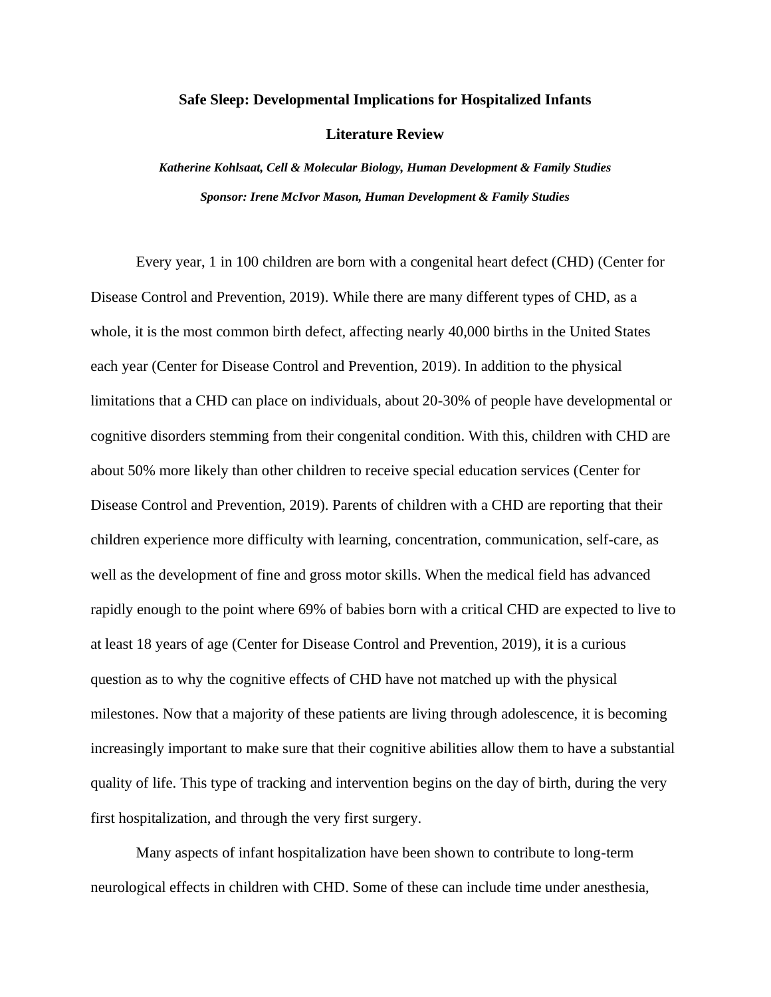### **Safe Sleep: Developmental Implications for Hospitalized Infants**

**Literature Review**

*Katherine Kohlsaat, Cell & Molecular Biology, Human Development & Family Studies Sponsor: Irene McIvor Mason, Human Development & Family Studies*

Every year, 1 in 100 children are born with a congenital heart defect (CHD) (Center for Disease Control and Prevention, 2019). While there are many different types of CHD, as a whole, it is the most common birth defect, affecting nearly 40,000 births in the United States each year (Center for Disease Control and Prevention, 2019). In addition to the physical limitations that a CHD can place on individuals, about 20-30% of people have developmental or cognitive disorders stemming from their congenital condition. With this, children with CHD are about 50% more likely than other children to receive special education services (Center for Disease Control and Prevention, 2019). Parents of children with a CHD are reporting that their children experience more difficulty with learning, concentration, communication, self-care, as well as the development of fine and gross motor skills. When the medical field has advanced rapidly enough to the point where 69% of babies born with a critical CHD are expected to live to at least 18 years of age (Center for Disease Control and Prevention, 2019), it is a curious question as to why the cognitive effects of CHD have not matched up with the physical milestones. Now that a majority of these patients are living through adolescence, it is becoming increasingly important to make sure that their cognitive abilities allow them to have a substantial quality of life. This type of tracking and intervention begins on the day of birth, during the very first hospitalization, and through the very first surgery.

Many aspects of infant hospitalization have been shown to contribute to long-term neurological effects in children with CHD. Some of these can include time under anesthesia,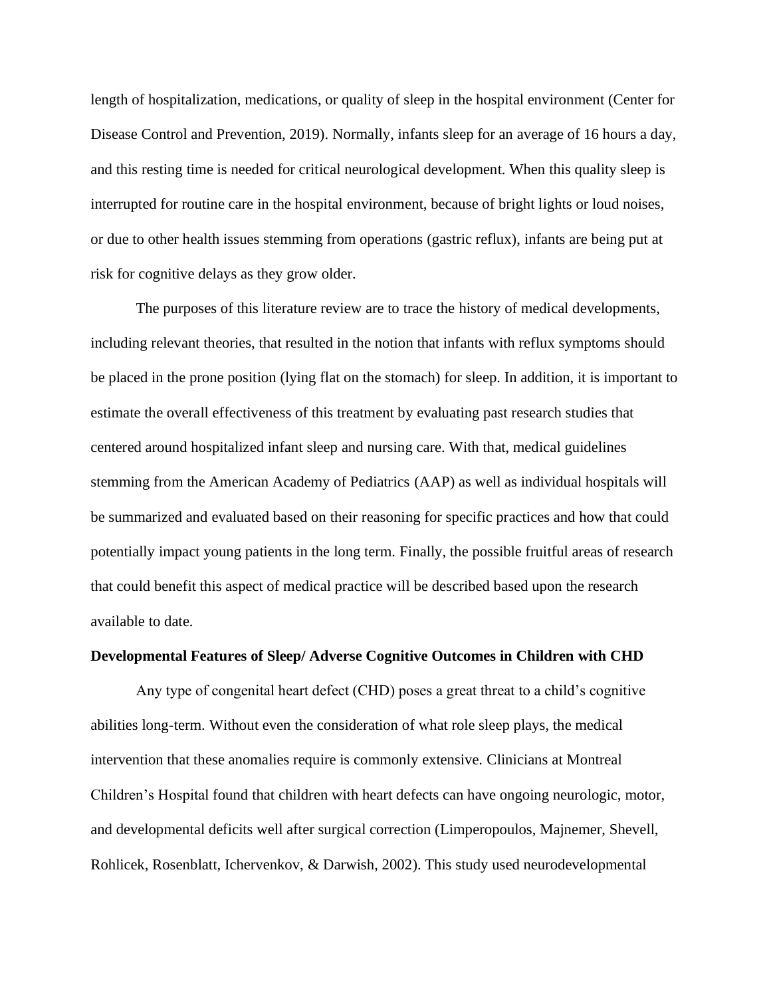length of hospitalization, medications, or quality of sleep in the hospital environment (Center for Disease Control and Prevention, 2019). Normally, infants sleep for an average of 16 hours a day, and this resting time is needed for critical neurological development. When this quality sleep is interrupted for routine care in the hospital environment, because of bright lights or loud noises, or due to other health issues stemming from operations (gastric reflux), infants are being put at risk for cognitive delays as they grow older.

The purposes of this literature review are to trace the history of medical developments, including relevant theories, that resulted in the notion that infants with reflux symptoms should be placed in the prone position (lying flat on the stomach) for sleep. In addition, it is important to estimate the overall effectiveness of this treatment by evaluating past research studies that centered around hospitalized infant sleep and nursing care. With that, medical guidelines stemming from the American Academy of Pediatrics (AAP) as well as individual hospitals will be summarized and evaluated based on their reasoning for specific practices and how that could potentially impact young patients in the long term. Finally, the possible fruitful areas of research that could benefit this aspect of medical practice will be described based upon the research available to date.

### **Developmental Features of Sleep/ Adverse Cognitive Outcomes in Children with CHD**

Any type of congenital heart defect (CHD) poses a great threat to a child's cognitive abilities long-term. Without even the consideration of what role sleep plays, the medical intervention that these anomalies require is commonly extensive. Clinicians at Montreal Children's Hospital found that children with heart defects can have ongoing neurologic, motor, and developmental deficits well after surgical correction (Limperopoulos, Majnemer, Shevell, Rohlicek, Rosenblatt, Ichervenkov, & Darwish, 2002). This study used neurodevelopmental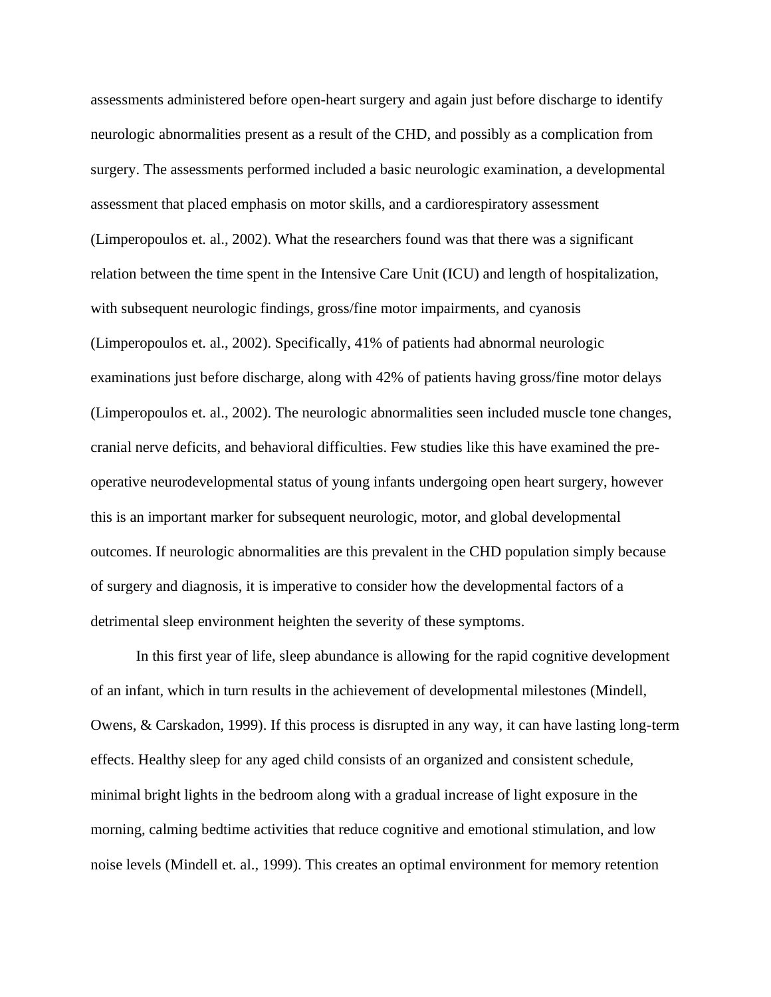assessments administered before open-heart surgery and again just before discharge to identify neurologic abnormalities present as a result of the CHD, and possibly as a complication from surgery. The assessments performed included a basic neurologic examination, a developmental assessment that placed emphasis on motor skills, and a cardiorespiratory assessment (Limperopoulos et. al., 2002). What the researchers found was that there was a significant relation between the time spent in the Intensive Care Unit (ICU) and length of hospitalization, with subsequent neurologic findings, gross/fine motor impairments, and cyanosis (Limperopoulos et. al., 2002). Specifically, 41% of patients had abnormal neurologic examinations just before discharge, along with 42% of patients having gross/fine motor delays (Limperopoulos et. al., 2002). The neurologic abnormalities seen included muscle tone changes, cranial nerve deficits, and behavioral difficulties. Few studies like this have examined the preoperative neurodevelopmental status of young infants undergoing open heart surgery, however this is an important marker for subsequent neurologic, motor, and global developmental outcomes. If neurologic abnormalities are this prevalent in the CHD population simply because of surgery and diagnosis, it is imperative to consider how the developmental factors of a detrimental sleep environment heighten the severity of these symptoms.

In this first year of life, sleep abundance is allowing for the rapid cognitive development of an infant, which in turn results in the achievement of developmental milestones (Mindell, Owens, & Carskadon, 1999). If this process is disrupted in any way, it can have lasting long-term effects. Healthy sleep for any aged child consists of an organized and consistent schedule, minimal bright lights in the bedroom along with a gradual increase of light exposure in the morning, calming bedtime activities that reduce cognitive and emotional stimulation, and low noise levels (Mindell et. al., 1999). This creates an optimal environment for memory retention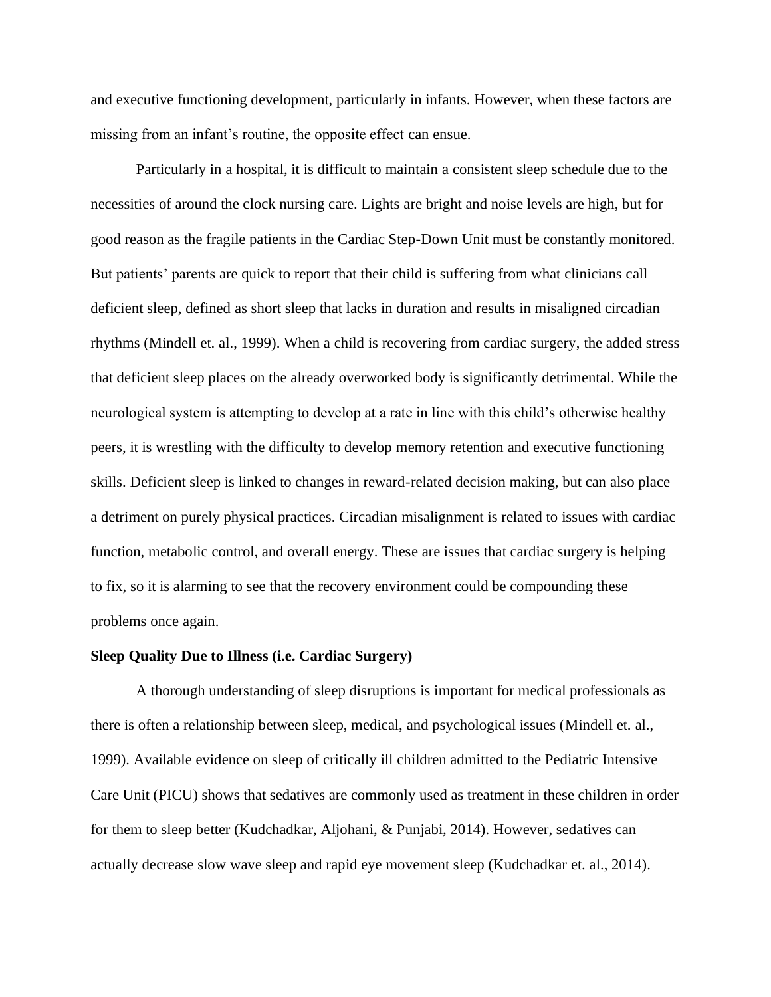and executive functioning development, particularly in infants. However, when these factors are missing from an infant's routine, the opposite effect can ensue.

Particularly in a hospital, it is difficult to maintain a consistent sleep schedule due to the necessities of around the clock nursing care. Lights are bright and noise levels are high, but for good reason as the fragile patients in the Cardiac Step-Down Unit must be constantly monitored. But patients' parents are quick to report that their child is suffering from what clinicians call deficient sleep, defined as short sleep that lacks in duration and results in misaligned circadian rhythms (Mindell et. al., 1999). When a child is recovering from cardiac surgery, the added stress that deficient sleep places on the already overworked body is significantly detrimental. While the neurological system is attempting to develop at a rate in line with this child's otherwise healthy peers, it is wrestling with the difficulty to develop memory retention and executive functioning skills. Deficient sleep is linked to changes in reward-related decision making, but can also place a detriment on purely physical practices. Circadian misalignment is related to issues with cardiac function, metabolic control, and overall energy. These are issues that cardiac surgery is helping to fix, so it is alarming to see that the recovery environment could be compounding these problems once again.

### **Sleep Quality Due to Illness (i.e. Cardiac Surgery)**

A thorough understanding of sleep disruptions is important for medical professionals as there is often a relationship between sleep, medical, and psychological issues (Mindell et. al., 1999). Available evidence on sleep of critically ill children admitted to the Pediatric Intensive Care Unit (PICU) shows that sedatives are commonly used as treatment in these children in order for them to sleep better (Kudchadkar, Aljohani, & Punjabi, 2014). However, sedatives can actually decrease slow wave sleep and rapid eye movement sleep (Kudchadkar et. al., 2014).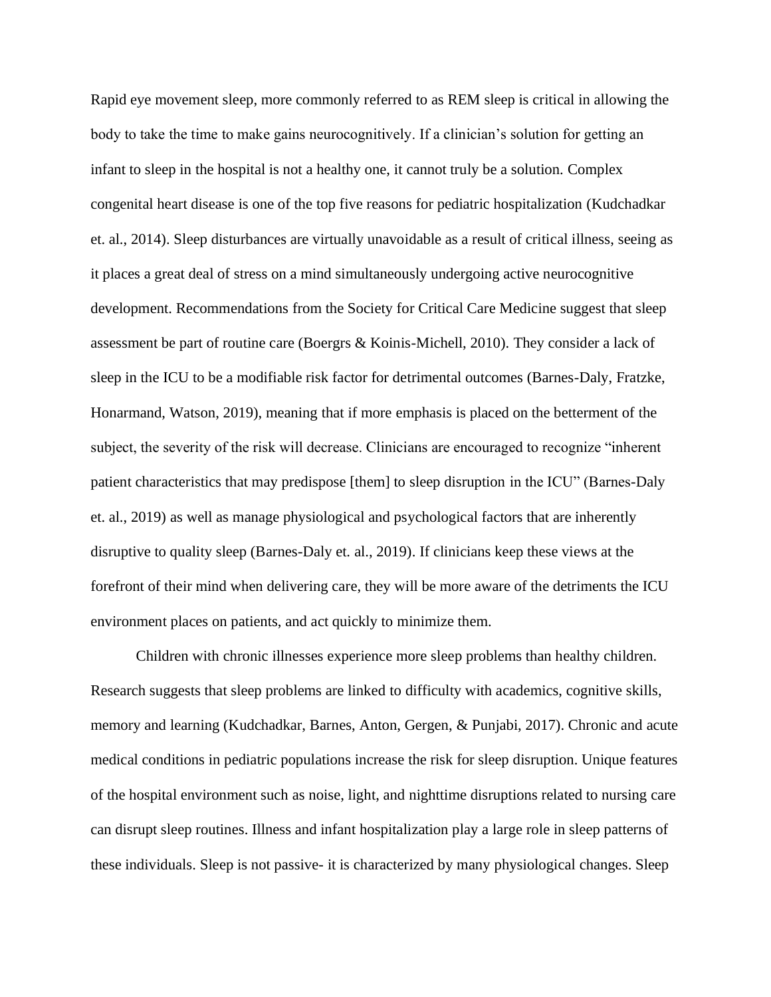Rapid eye movement sleep, more commonly referred to as REM sleep is critical in allowing the body to take the time to make gains neurocognitively. If a clinician's solution for getting an infant to sleep in the hospital is not a healthy one, it cannot truly be a solution. Complex congenital heart disease is one of the top five reasons for pediatric hospitalization (Kudchadkar et. al., 2014). Sleep disturbances are virtually unavoidable as a result of critical illness, seeing as it places a great deal of stress on a mind simultaneously undergoing active neurocognitive development. Recommendations from the Society for Critical Care Medicine suggest that sleep assessment be part of routine care (Boergrs & Koinis-Michell, 2010). They consider a lack of sleep in the ICU to be a modifiable risk factor for detrimental outcomes (Barnes-Daly, Fratzke, Honarmand, Watson, 2019), meaning that if more emphasis is placed on the betterment of the subject, the severity of the risk will decrease. Clinicians are encouraged to recognize "inherent patient characteristics that may predispose [them] to sleep disruption in the ICU" (Barnes-Daly et. al., 2019) as well as manage physiological and psychological factors that are inherently disruptive to quality sleep (Barnes-Daly et. al., 2019). If clinicians keep these views at the forefront of their mind when delivering care, they will be more aware of the detriments the ICU environment places on patients, and act quickly to minimize them.

Children with chronic illnesses experience more sleep problems than healthy children. Research suggests that sleep problems are linked to difficulty with academics, cognitive skills, memory and learning (Kudchadkar, Barnes, Anton, Gergen, & Punjabi, 2017). Chronic and acute medical conditions in pediatric populations increase the risk for sleep disruption. Unique features of the hospital environment such as noise, light, and nighttime disruptions related to nursing care can disrupt sleep routines. Illness and infant hospitalization play a large role in sleep patterns of these individuals. Sleep is not passive- it is characterized by many physiological changes. Sleep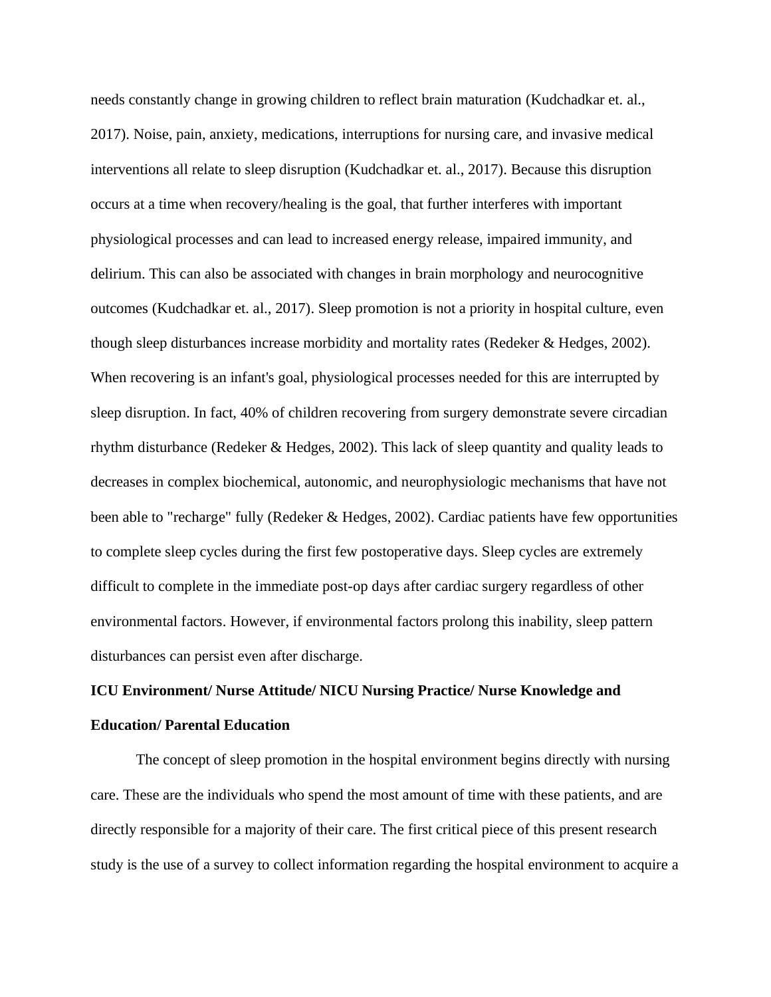needs constantly change in growing children to reflect brain maturation (Kudchadkar et. al., 2017). Noise, pain, anxiety, medications, interruptions for nursing care, and invasive medical interventions all relate to sleep disruption (Kudchadkar et. al., 2017). Because this disruption occurs at a time when recovery/healing is the goal, that further interferes with important physiological processes and can lead to increased energy release, impaired immunity, and delirium. This can also be associated with changes in brain morphology and neurocognitive outcomes (Kudchadkar et. al., 2017). Sleep promotion is not a priority in hospital culture, even though sleep disturbances increase morbidity and mortality rates (Redeker & Hedges, 2002). When recovering is an infant's goal, physiological processes needed for this are interrupted by sleep disruption. In fact, 40% of children recovering from surgery demonstrate severe circadian rhythm disturbance (Redeker & Hedges, 2002). This lack of sleep quantity and quality leads to decreases in complex biochemical, autonomic, and neurophysiologic mechanisms that have not been able to "recharge" fully (Redeker & Hedges, 2002). Cardiac patients have few opportunities to complete sleep cycles during the first few postoperative days. Sleep cycles are extremely difficult to complete in the immediate post-op days after cardiac surgery regardless of other environmental factors. However, if environmental factors prolong this inability, sleep pattern disturbances can persist even after discharge.

# **ICU Environment/ Nurse Attitude/ NICU Nursing Practice/ Nurse Knowledge and Education/ Parental Education**

The concept of sleep promotion in the hospital environment begins directly with nursing care. These are the individuals who spend the most amount of time with these patients, and are directly responsible for a majority of their care. The first critical piece of this present research study is the use of a survey to collect information regarding the hospital environment to acquire a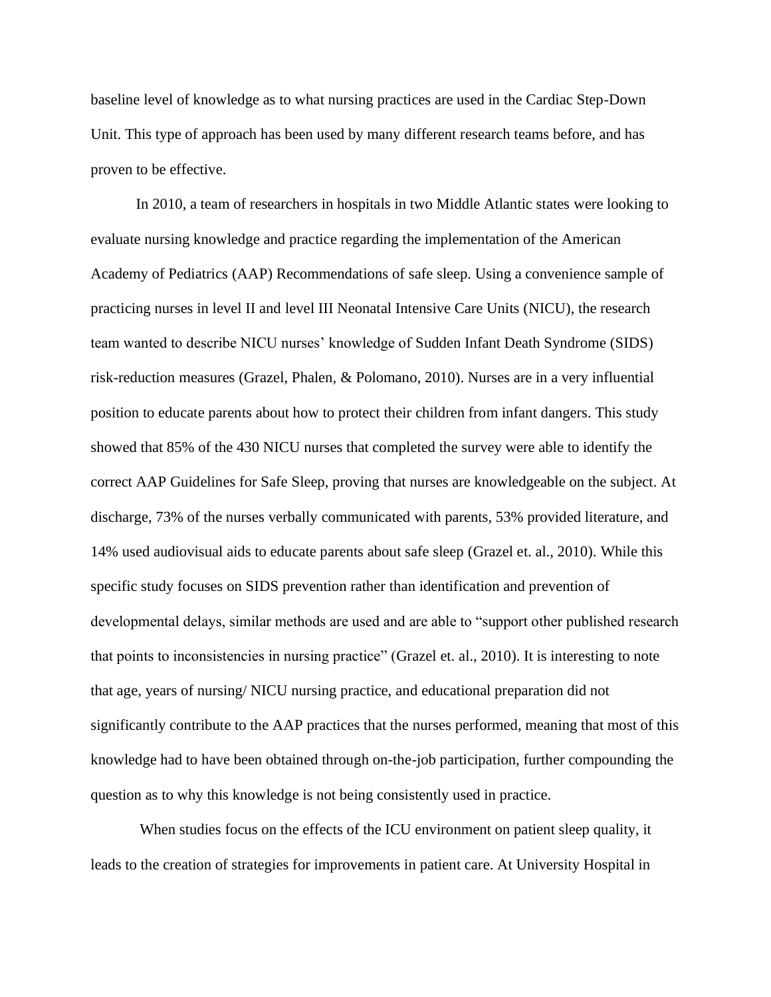baseline level of knowledge as to what nursing practices are used in the Cardiac Step-Down Unit. This type of approach has been used by many different research teams before, and has proven to be effective.

In 2010, a team of researchers in hospitals in two Middle Atlantic states were looking to evaluate nursing knowledge and practice regarding the implementation of the American Academy of Pediatrics (AAP) Recommendations of safe sleep. Using a convenience sample of practicing nurses in level II and level III Neonatal Intensive Care Units (NICU), the research team wanted to describe NICU nurses' knowledge of Sudden Infant Death Syndrome (SIDS) risk-reduction measures (Grazel, Phalen, & Polomano, 2010). Nurses are in a very influential position to educate parents about how to protect their children from infant dangers. This study showed that 85% of the 430 NICU nurses that completed the survey were able to identify the correct AAP Guidelines for Safe Sleep, proving that nurses are knowledgeable on the subject. At discharge, 73% of the nurses verbally communicated with parents, 53% provided literature, and 14% used audiovisual aids to educate parents about safe sleep (Grazel et. al., 2010). While this specific study focuses on SIDS prevention rather than identification and prevention of developmental delays, similar methods are used and are able to "support other published research that points to inconsistencies in nursing practice" (Grazel et. al., 2010). It is interesting to note that age, years of nursing/ NICU nursing practice, and educational preparation did not significantly contribute to the AAP practices that the nurses performed, meaning that most of this knowledge had to have been obtained through on-the-job participation, further compounding the question as to why this knowledge is not being consistently used in practice.

When studies focus on the effects of the ICU environment on patient sleep quality, it leads to the creation of strategies for improvements in patient care. At University Hospital in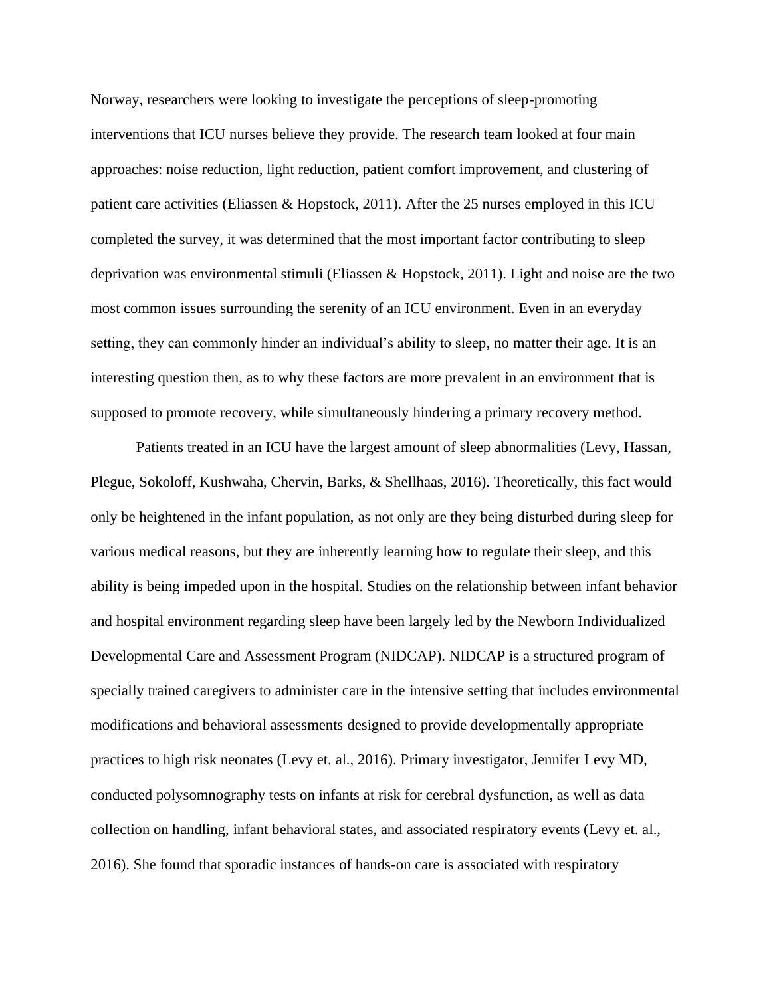Norway, researchers were looking to investigate the perceptions of sleep-promoting interventions that ICU nurses believe they provide. The research team looked at four main approaches: noise reduction, light reduction, patient comfort improvement, and clustering of patient care activities (Eliassen & Hopstock, 2011). After the 25 nurses employed in this ICU completed the survey, it was determined that the most important factor contributing to sleep deprivation was environmental stimuli (Eliassen & Hopstock, 2011). Light and noise are the two most common issues surrounding the serenity of an ICU environment. Even in an everyday setting, they can commonly hinder an individual's ability to sleep, no matter their age. It is an interesting question then, as to why these factors are more prevalent in an environment that is supposed to promote recovery, while simultaneously hindering a primary recovery method.

Patients treated in an ICU have the largest amount of sleep abnormalities (Levy, Hassan, Plegue, Sokoloff, Kushwaha, Chervin, Barks, & Shellhaas, 2016). Theoretically, this fact would only be heightened in the infant population, as not only are they being disturbed during sleep for various medical reasons, but they are inherently learning how to regulate their sleep, and this ability is being impeded upon in the hospital. Studies on the relationship between infant behavior and hospital environment regarding sleep have been largely led by the Newborn Individualized Developmental Care and Assessment Program (NIDCAP). NIDCAP is a structured program of specially trained caregivers to administer care in the intensive setting that includes environmental modifications and behavioral assessments designed to provide developmentally appropriate practices to high risk neonates (Levy et. al., 2016). Primary investigator, Jennifer Levy MD, conducted polysomnography tests on infants at risk for cerebral dysfunction, as well as data collection on handling, infant behavioral states, and associated respiratory events (Levy et. al., 2016). She found that sporadic instances of hands-on care is associated with respiratory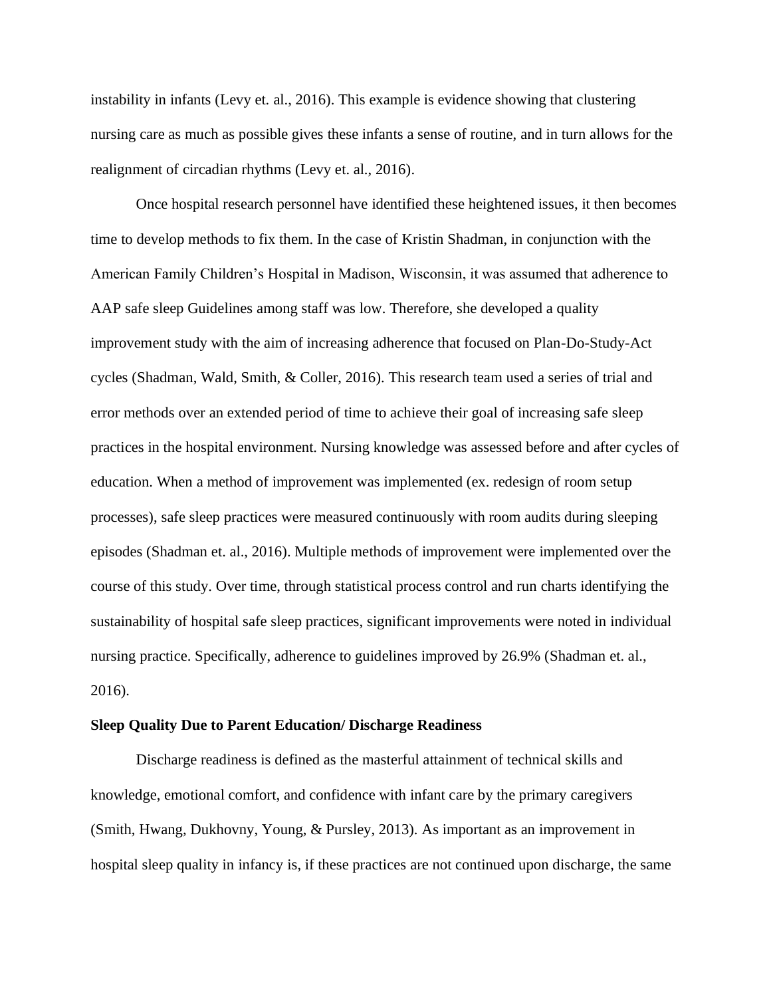instability in infants (Levy et. al., 2016). This example is evidence showing that clustering nursing care as much as possible gives these infants a sense of routine, and in turn allows for the realignment of circadian rhythms (Levy et. al., 2016).

Once hospital research personnel have identified these heightened issues, it then becomes time to develop methods to fix them. In the case of Kristin Shadman, in conjunction with the American Family Children's Hospital in Madison, Wisconsin, it was assumed that adherence to AAP safe sleep Guidelines among staff was low. Therefore, she developed a quality improvement study with the aim of increasing adherence that focused on Plan-Do-Study-Act cycles (Shadman, Wald, Smith, & Coller, 2016). This research team used a series of trial and error methods over an extended period of time to achieve their goal of increasing safe sleep practices in the hospital environment. Nursing knowledge was assessed before and after cycles of education. When a method of improvement was implemented (ex. redesign of room setup processes), safe sleep practices were measured continuously with room audits during sleeping episodes (Shadman et. al., 2016). Multiple methods of improvement were implemented over the course of this study. Over time, through statistical process control and run charts identifying the sustainability of hospital safe sleep practices, significant improvements were noted in individual nursing practice. Specifically, adherence to guidelines improved by 26.9% (Shadman et. al., 2016).

### **Sleep Quality Due to Parent Education/ Discharge Readiness**

Discharge readiness is defined as the masterful attainment of technical skills and knowledge, emotional comfort, and confidence with infant care by the primary caregivers (Smith, Hwang, Dukhovny, Young, & Pursley, 2013). As important as an improvement in hospital sleep quality in infancy is, if these practices are not continued upon discharge, the same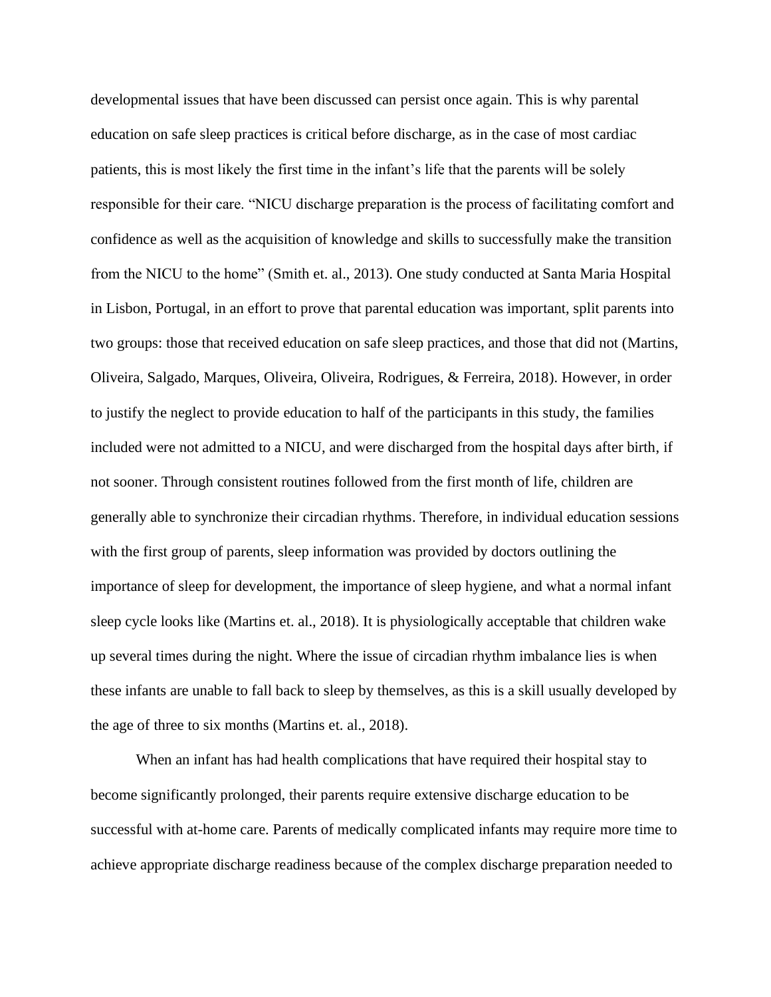developmental issues that have been discussed can persist once again. This is why parental education on safe sleep practices is critical before discharge, as in the case of most cardiac patients, this is most likely the first time in the infant's life that the parents will be solely responsible for their care. "NICU discharge preparation is the process of facilitating comfort and confidence as well as the acquisition of knowledge and skills to successfully make the transition from the NICU to the home" (Smith et. al., 2013). One study conducted at Santa Maria Hospital in Lisbon, Portugal, in an effort to prove that parental education was important, split parents into two groups: those that received education on safe sleep practices, and those that did not (Martins, Oliveira, Salgado, Marques, Oliveira, Oliveira, Rodrigues, & Ferreira, 2018). However, in order to justify the neglect to provide education to half of the participants in this study, the families included were not admitted to a NICU, and were discharged from the hospital days after birth, if not sooner. Through consistent routines followed from the first month of life, children are generally able to synchronize their circadian rhythms. Therefore, in individual education sessions with the first group of parents, sleep information was provided by doctors outlining the importance of sleep for development, the importance of sleep hygiene, and what a normal infant sleep cycle looks like (Martins et. al., 2018). It is physiologically acceptable that children wake up several times during the night. Where the issue of circadian rhythm imbalance lies is when these infants are unable to fall back to sleep by themselves, as this is a skill usually developed by the age of three to six months (Martins et. al., 2018).

When an infant has had health complications that have required their hospital stay to become significantly prolonged, their parents require extensive discharge education to be successful with at-home care. Parents of medically complicated infants may require more time to achieve appropriate discharge readiness because of the complex discharge preparation needed to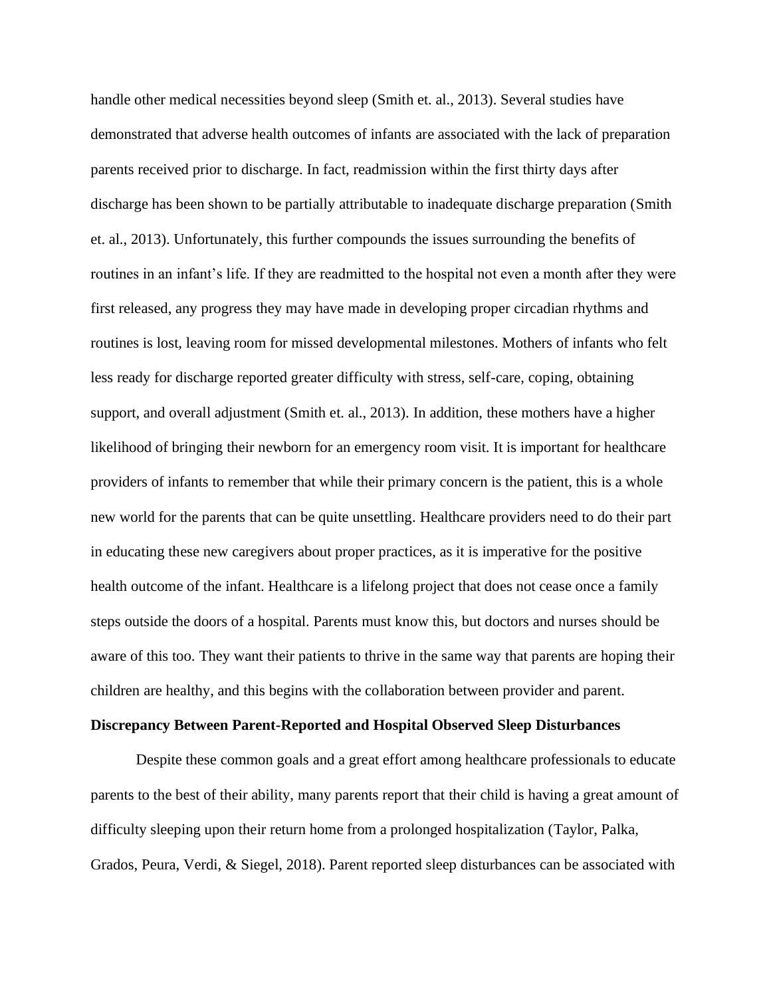handle other medical necessities beyond sleep (Smith et. al., 2013). Several studies have demonstrated that adverse health outcomes of infants are associated with the lack of preparation parents received prior to discharge. In fact, readmission within the first thirty days after discharge has been shown to be partially attributable to inadequate discharge preparation (Smith et. al., 2013). Unfortunately, this further compounds the issues surrounding the benefits of routines in an infant's life. If they are readmitted to the hospital not even a month after they were first released, any progress they may have made in developing proper circadian rhythms and routines is lost, leaving room for missed developmental milestones. Mothers of infants who felt less ready for discharge reported greater difficulty with stress, self-care, coping, obtaining support, and overall adjustment (Smith et. al., 2013). In addition, these mothers have a higher likelihood of bringing their newborn for an emergency room visit. It is important for healthcare providers of infants to remember that while their primary concern is the patient, this is a whole new world for the parents that can be quite unsettling. Healthcare providers need to do their part in educating these new caregivers about proper practices, as it is imperative for the positive health outcome of the infant. Healthcare is a lifelong project that does not cease once a family steps outside the doors of a hospital. Parents must know this, but doctors and nurses should be aware of this too. They want their patients to thrive in the same way that parents are hoping their children are healthy, and this begins with the collaboration between provider and parent.

### **Discrepancy Between Parent-Reported and Hospital Observed Sleep Disturbances**

Despite these common goals and a great effort among healthcare professionals to educate parents to the best of their ability, many parents report that their child is having a great amount of difficulty sleeping upon their return home from a prolonged hospitalization (Taylor, Palka, Grados, Peura, Verdi, & Siegel, 2018). Parent reported sleep disturbances can be associated with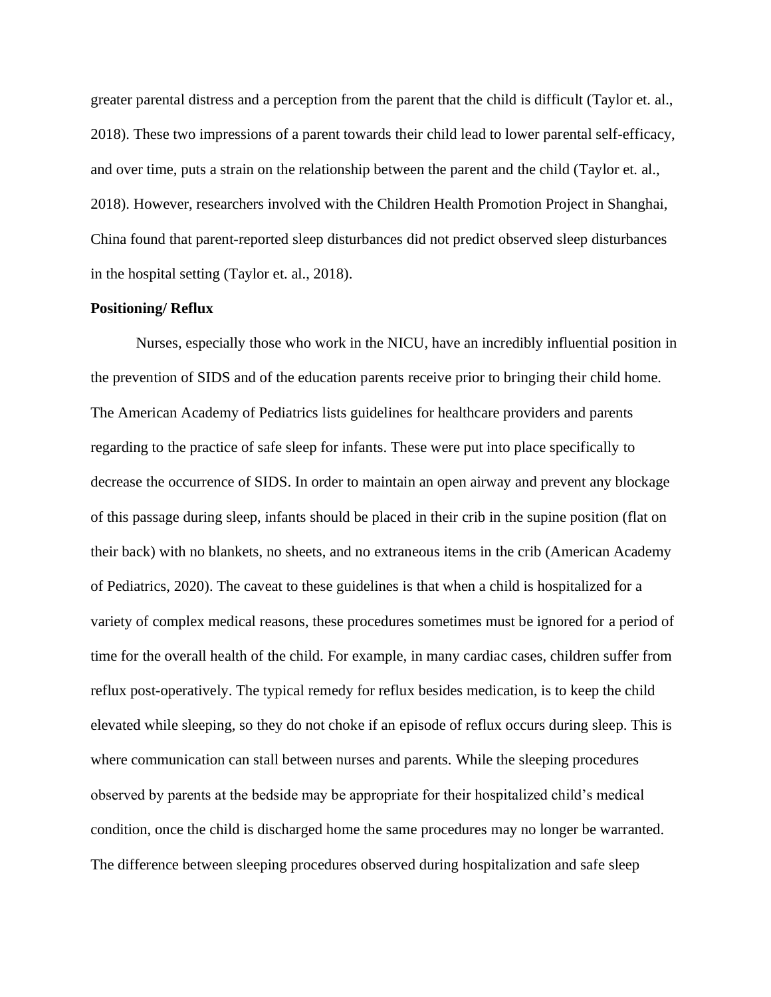greater parental distress and a perception from the parent that the child is difficult (Taylor et. al., 2018). These two impressions of a parent towards their child lead to lower parental self-efficacy, and over time, puts a strain on the relationship between the parent and the child (Taylor et. al., 2018). However, researchers involved with the Children Health Promotion Project in Shanghai, China found that parent-reported sleep disturbances did not predict observed sleep disturbances in the hospital setting (Taylor et. al., 2018).

### **Positioning/ Reflux**

Nurses, especially those who work in the NICU, have an incredibly influential position in the prevention of SIDS and of the education parents receive prior to bringing their child home. The American Academy of Pediatrics lists guidelines for healthcare providers and parents regarding to the practice of safe sleep for infants. These were put into place specifically to decrease the occurrence of SIDS. In order to maintain an open airway and prevent any blockage of this passage during sleep, infants should be placed in their crib in the supine position (flat on their back) with no blankets, no sheets, and no extraneous items in the crib (American Academy of Pediatrics, 2020). The caveat to these guidelines is that when a child is hospitalized for a variety of complex medical reasons, these procedures sometimes must be ignored for a period of time for the overall health of the child. For example, in many cardiac cases, children suffer from reflux post-operatively. The typical remedy for reflux besides medication, is to keep the child elevated while sleeping, so they do not choke if an episode of reflux occurs during sleep. This is where communication can stall between nurses and parents. While the sleeping procedures observed by parents at the bedside may be appropriate for their hospitalized child's medical condition, once the child is discharged home the same procedures may no longer be warranted. The difference between sleeping procedures observed during hospitalization and safe sleep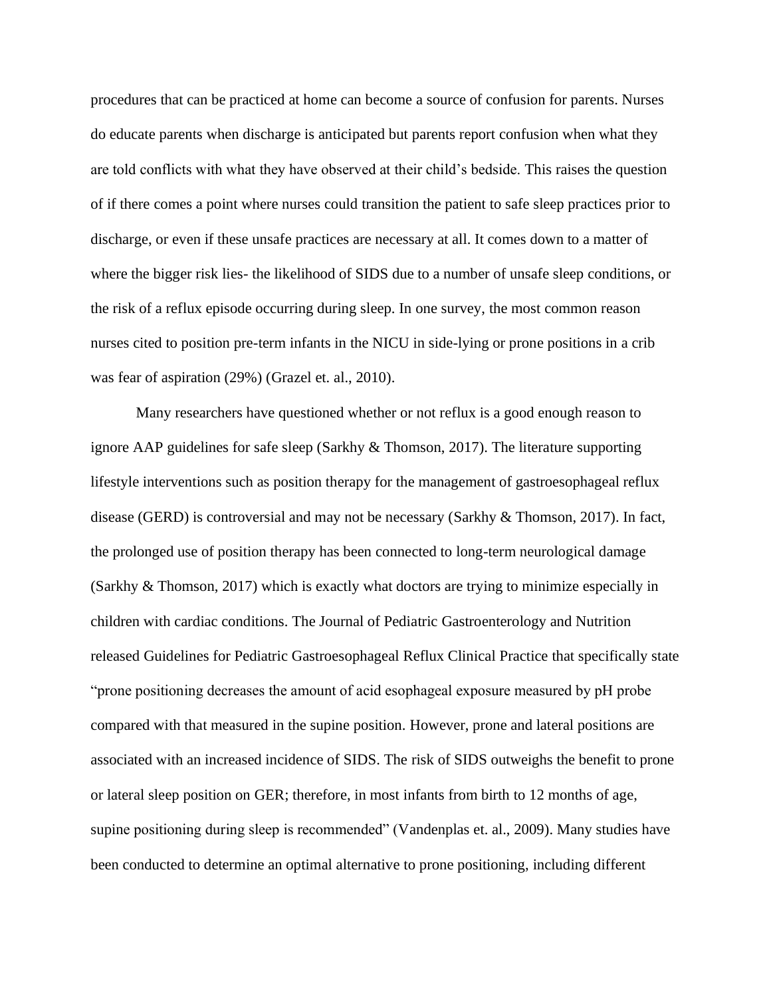procedures that can be practiced at home can become a source of confusion for parents. Nurses do educate parents when discharge is anticipated but parents report confusion when what they are told conflicts with what they have observed at their child's bedside. This raises the question of if there comes a point where nurses could transition the patient to safe sleep practices prior to discharge, or even if these unsafe practices are necessary at all. It comes down to a matter of where the bigger risk lies- the likelihood of SIDS due to a number of unsafe sleep conditions, or the risk of a reflux episode occurring during sleep. In one survey, the most common reason nurses cited to position pre-term infants in the NICU in side-lying or prone positions in a crib was fear of aspiration (29%) (Grazel et. al., 2010).

Many researchers have questioned whether or not reflux is a good enough reason to ignore AAP guidelines for safe sleep (Sarkhy & Thomson, 2017). The literature supporting lifestyle interventions such as position therapy for the management of gastroesophageal reflux disease (GERD) is controversial and may not be necessary (Sarkhy & Thomson, 2017). In fact, the prolonged use of position therapy has been connected to long-term neurological damage (Sarkhy & Thomson, 2017) which is exactly what doctors are trying to minimize especially in children with cardiac conditions. The Journal of Pediatric Gastroenterology and Nutrition released Guidelines for Pediatric Gastroesophageal Reflux Clinical Practice that specifically state "prone positioning decreases the amount of acid esophageal exposure measured by pH probe compared with that measured in the supine position. However, prone and lateral positions are associated with an increased incidence of SIDS. The risk of SIDS outweighs the benefit to prone or lateral sleep position on GER; therefore, in most infants from birth to 12 months of age, supine positioning during sleep is recommended" (Vandenplas et. al., 2009). Many studies have been conducted to determine an optimal alternative to prone positioning, including different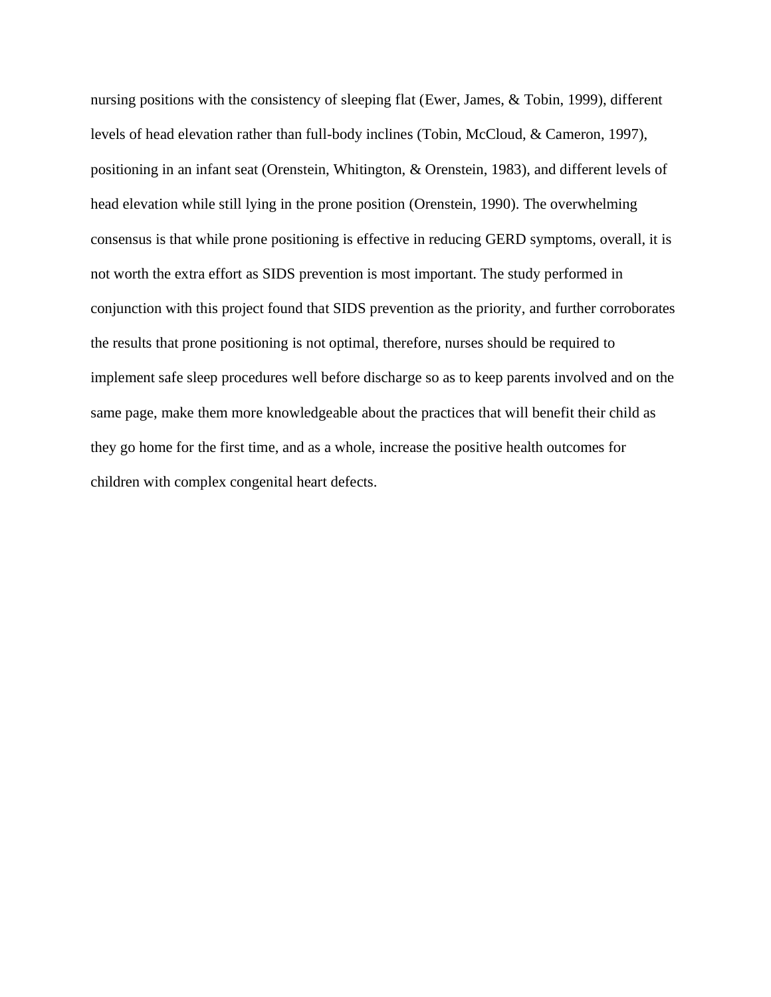nursing positions with the consistency of sleeping flat (Ewer, James, & Tobin, 1999), different levels of head elevation rather than full-body inclines (Tobin, McCloud, & Cameron, 1997), positioning in an infant seat (Orenstein, Whitington, & Orenstein, 1983), and different levels of head elevation while still lying in the prone position (Orenstein, 1990). The overwhelming consensus is that while prone positioning is effective in reducing GERD symptoms, overall, it is not worth the extra effort as SIDS prevention is most important. The study performed in conjunction with this project found that SIDS prevention as the priority, and further corroborates the results that prone positioning is not optimal, therefore, nurses should be required to implement safe sleep procedures well before discharge so as to keep parents involved and on the same page, make them more knowledgeable about the practices that will benefit their child as they go home for the first time, and as a whole, increase the positive health outcomes for children with complex congenital heart defects.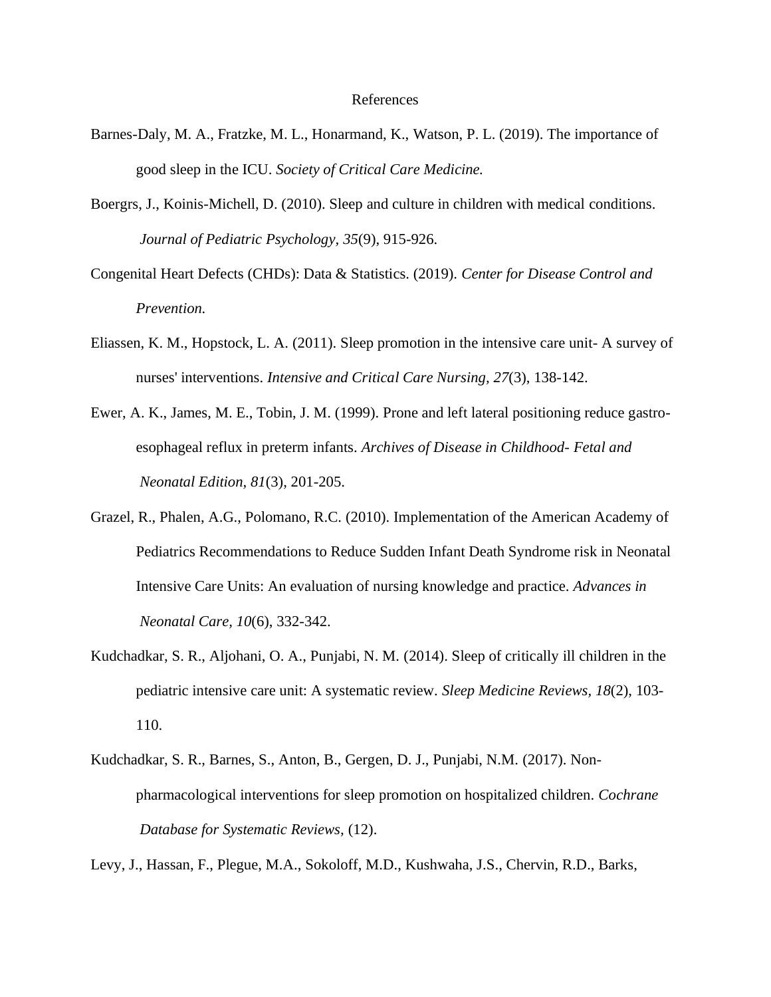### References

- Barnes-Daly, M. A., Fratzke, M. L., Honarmand, K., Watson, P. L. (2019). The importance of good sleep in the ICU. *Society of Critical Care Medicine.*
- Boergrs, J., Koinis-Michell, D. (2010). Sleep and culture in children with medical conditions. *Journal of Pediatric Psychology, 35*(9), 915-926.
- Congenital Heart Defects (CHDs): Data & Statistics. (2019). *Center for Disease Control and Prevention.*
- Eliassen, K. M., Hopstock, L. A. (2011). Sleep promotion in the intensive care unit- A survey of nurses' interventions. *Intensive and Critical Care Nursing, 27*(3), 138-142.
- Ewer, A. K., James, M. E., Tobin, J. M. (1999). Prone and left lateral positioning reduce gastroesophageal reflux in preterm infants. *Archives of Disease in Childhood- Fetal and Neonatal Edition, 81*(3), 201-205.
- Grazel, R., Phalen, A.G., Polomano, R.C. (2010). Implementation of the American Academy of Pediatrics Recommendations to Reduce Sudden Infant Death Syndrome risk in Neonatal Intensive Care Units: An evaluation of nursing knowledge and practice. *Advances in Neonatal Care, 10*(6), 332-342.
- Kudchadkar, S. R., Aljohani, O. A., Punjabi, N. M. (2014). Sleep of critically ill children in the pediatric intensive care unit: A systematic review. *Sleep Medicine Reviews, 18*(2), 103- 110.
- Kudchadkar, S. R., Barnes, S., Anton, B., Gergen, D. J., Punjabi, N.M. (2017). Nonpharmacological interventions for sleep promotion on hospitalized children. *Cochrane Database for Systematic Reviews,* (12).

Levy, J., Hassan, F., Plegue, M.A., Sokoloff, M.D., Kushwaha, J.S., Chervin, R.D., Barks,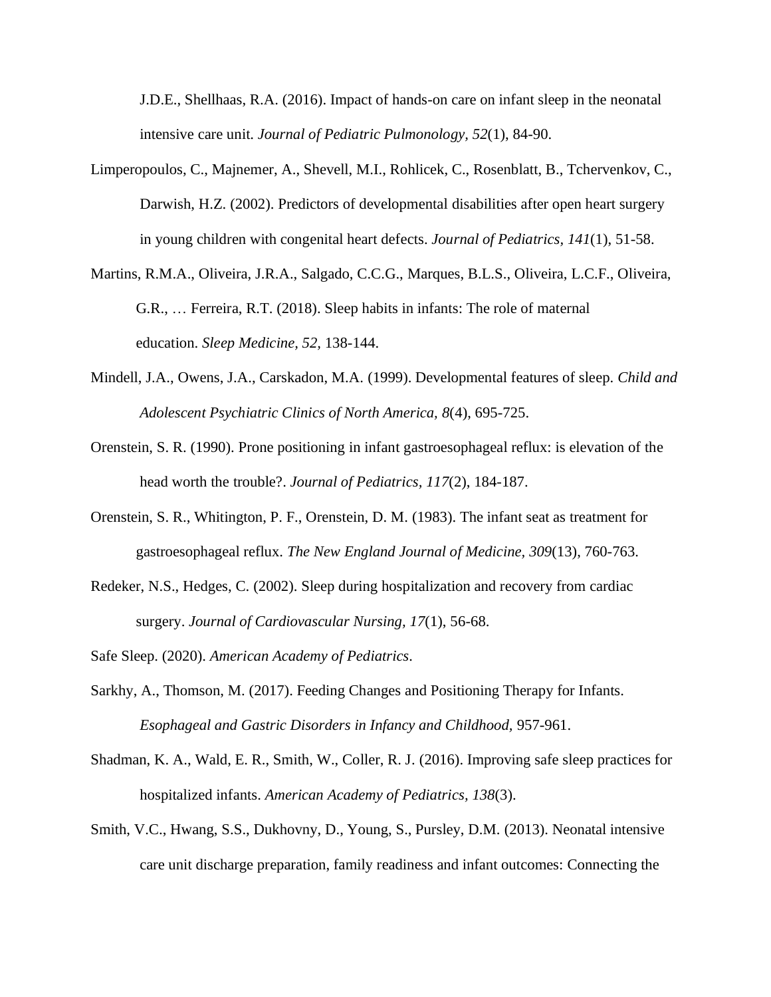J.D.E., Shellhaas, R.A. (2016). Impact of hands-on care on infant sleep in the neonatal intensive care unit. *Journal of Pediatric Pulmonology, 52*(1), 84-90.

- Limperopoulos, C., Majnemer, A., Shevell, M.I., Rohlicek, C., Rosenblatt, B., Tchervenkov, C., Darwish, H.Z. (2002). Predictors of developmental disabilities after open heart surgery in young children with congenital heart defects. *Journal of Pediatrics, 141*(1), 51-58.
- Martins, R.M.A., Oliveira, J.R.A., Salgado, C.C.G., Marques, B.L.S., Oliveira, L.C.F., Oliveira, G.R., … Ferreira, R.T. (2018). Sleep habits in infants: The role of maternal education. *Sleep Medicine, 52,* 138-144.
- Mindell, J.A., Owens, J.A., Carskadon, M.A. (1999). Developmental features of sleep. *Child and Adolescent Psychiatric Clinics of North America, 8*(4), 695-725.
- Orenstein, S. R. (1990). Prone positioning in infant gastroesophageal reflux: is elevation of the head worth the trouble?. *Journal of Pediatrics, 117*(2), 184-187.
- Orenstein, S. R., Whitington, P. F., Orenstein, D. M. (1983). The infant seat as treatment for gastroesophageal reflux. *The New England Journal of Medicine, 309*(13), 760-763.
- Redeker, N.S., Hedges, C. (2002). Sleep during hospitalization and recovery from cardiac surgery. *Journal of Cardiovascular Nursing, 17*(1), 56-68.
- Safe Sleep. (2020). *American Academy of Pediatrics.*
- Sarkhy, A., Thomson, M. (2017). Feeding Changes and Positioning Therapy for Infants. *Esophageal and Gastric Disorders in Infancy and Childhood,* 957-961.
- Shadman, K. A., Wald, E. R., Smith, W., Coller, R. J. (2016). Improving safe sleep practices for hospitalized infants. *American Academy of Pediatrics, 138*(3).
- Smith, V.C., Hwang, S.S., Dukhovny, D., Young, S., Pursley, D.M. (2013). Neonatal intensive care unit discharge preparation, family readiness and infant outcomes: Connecting the